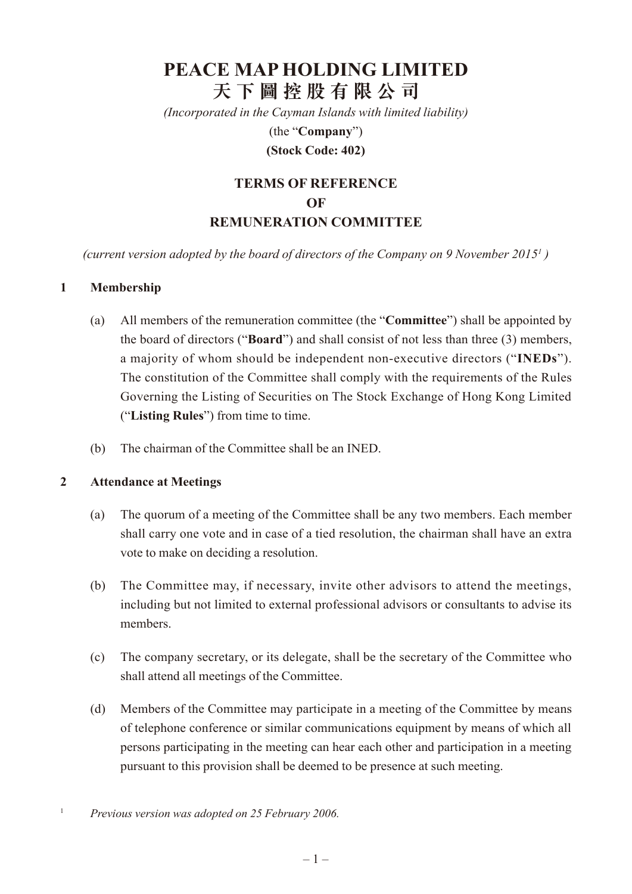# **PEACE MAP HOLDING LIMITED 天 下 圖 控 股 有 限 公 司**

*(Incorporated in the Cayman Islands with limited liability)*

(the "**Company**")

### **(Stock Code: 402)**

# **Terms of Reference of REMUNERATION COMMITTEE**

(current version adopted by the board of directors of the Company on 9 November 2015<sup>1</sup>)

#### **1 Membership**

- (a) All members of the remuneration committee (the "**Committee**") shall be appointed by the board of directors ("**Board**") and shall consist of not less than three (3) members, a majority of whom should be independent non-executive directors ("**INEDs**"). The constitution of the Committee shall comply with the requirements of the Rules Governing the Listing of Securities on The Stock Exchange of Hong Kong Limited ("**Listing Rules**") from time to time.
- (b) The chairman of the Committee shall be an INED.

#### **2 Attendance at Meetings**

- (a) The quorum of a meeting of the Committee shall be any two members. Each member shall carry one vote and in case of a tied resolution, the chairman shall have an extra vote to make on deciding a resolution.
- (b) The Committee may, if necessary, invite other advisors to attend the meetings, including but not limited to external professional advisors or consultants to advise its members.
- (c) The company secretary, or its delegate, shall be the secretary of the Committee who shall attend all meetings of the Committee.
- (d) Members of the Committee may participate in a meeting of the Committee by means of telephone conference or similar communications equipment by means of which all persons participating in the meeting can hear each other and participation in a meeting pursuant to this provision shall be deemed to be presence at such meeting.
- <sup>1</sup> *Previous version was adopted on 25 February 2006.*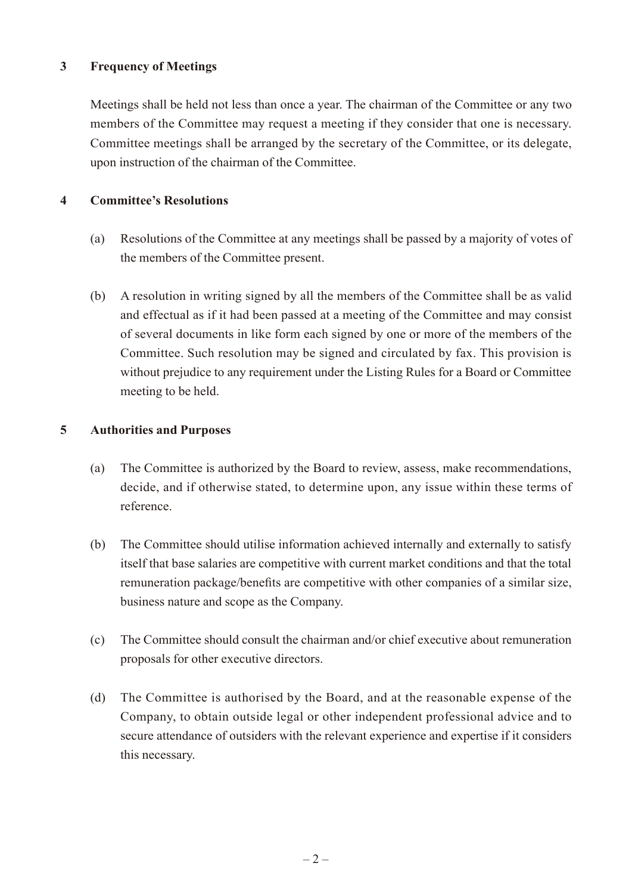# **3 Frequency of Meetings**

Meetings shall be held not less than once a year. The chairman of the Committee or any two members of the Committee may request a meeting if they consider that one is necessary. Committee meetings shall be arranged by the secretary of the Committee, or its delegate, upon instruction of the chairman of the Committee.

# **4 Committee's Resolutions**

- (a) Resolutions of the Committee at any meetings shall be passed by a majority of votes of the members of the Committee present.
- (b) A resolution in writing signed by all the members of the Committee shall be as valid and effectual as if it had been passed at a meeting of the Committee and may consist of several documents in like form each signed by one or more of the members of the Committee. Such resolution may be signed and circulated by fax. This provision is without prejudice to any requirement under the Listing Rules for a Board or Committee meeting to be held.

# **5 Authorities and Purposes**

- (a) The Committee is authorized by the Board to review, assess, make recommendations, decide, and if otherwise stated, to determine upon, any issue within these terms of reference.
- (b) The Committee should utilise information achieved internally and externally to satisfy itself that base salaries are competitive with current market conditions and that the total remuneration package/benefits are competitive with other companies of a similar size, business nature and scope as the Company.
- (c) The Committee should consult the chairman and/or chief executive about remuneration proposals for other executive directors.
- (d) The Committee is authorised by the Board, and at the reasonable expense of the Company, to obtain outside legal or other independent professional advice and to secure attendance of outsiders with the relevant experience and expertise if it considers this necessary.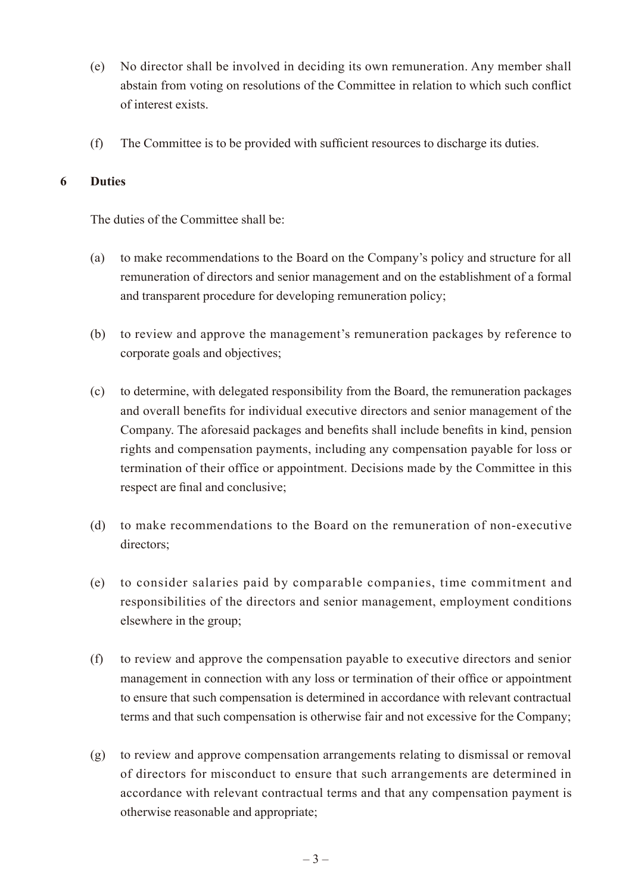- (e) No director shall be involved in deciding its own remuneration. Any member shall abstain from voting on resolutions of the Committee in relation to which such conflict of interest exists.
- (f) The Committee is to be provided with sufficient resources to discharge its duties.

#### **6 Duties**

The duties of the Committee shall be:

- (a) to make recommendations to the Board on the Company's policy and structure for all remuneration of directors and senior management and on the establishment of a formal and transparent procedure for developing remuneration policy;
- (b) to review and approve the management's remuneration packages by reference to corporate goals and objectives;
- (c) to determine, with delegated responsibility from the Board, the remuneration packages and overall benefits for individual executive directors and senior management of the Company. The aforesaid packages and benefits shall include benefits in kind, pension rights and compensation payments, including any compensation payable for loss or termination of their office or appointment. Decisions made by the Committee in this respect are final and conclusive;
- (d) to make recommendations to the Board on the remuneration of non-executive directors;
- (e) to consider salaries paid by comparable companies, time commitment and responsibilities of the directors and senior management, employment conditions elsewhere in the group;
- (f) to review and approve the compensation payable to executive directors and senior management in connection with any loss or termination of their office or appointment to ensure that such compensation is determined in accordance with relevant contractual terms and that such compensation is otherwise fair and not excessive for the Company;
- (g) to review and approve compensation arrangements relating to dismissal or removal of directors for misconduct to ensure that such arrangements are determined in accordance with relevant contractual terms and that any compensation payment is otherwise reasonable and appropriate;